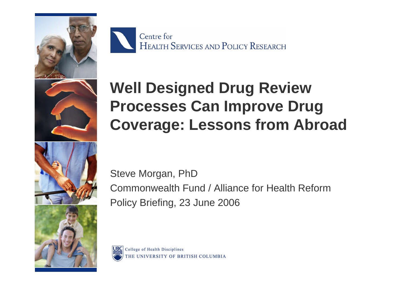

Centre for HEALTH SERVICES AND POLICY RESEARCH

# **Well Designed Drug Review Processes Can Improve Drug Coverage: Lessons from Abroad**

Steve Morgan, PhD Commonwealth Fund / Alliance for Health Reform Policy Briefing, 23 June 2006

College of Health Disciplines THE UNIVERSITY OF BRITISH COLUMBIA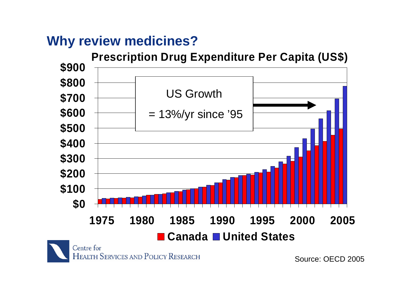## **Why review medicines?**



HEALTH SERVICES AND POLICY RESEARCH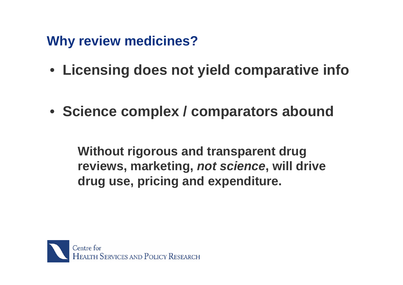**Why review medicines?**

- **Licensing does not yield comparative info**
- **Science complex / comparators abound**

**Without rigorous and transparent drug reviews, marketing,** *not science***, will drive drug use, pricing and expenditure.**

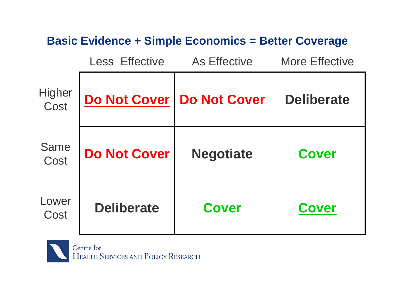#### **Basic Evidence + Simple Economics = Better Coverage**

|                     | <b>Less Effective</b> | <b>As Effective</b> | <b>More Effective</b> |
|---------------------|-----------------------|---------------------|-----------------------|
| Higher<br>Cost      | Do Not Cover          | <b>Do Not Cover</b> | <b>Deliberate</b>     |
| <b>Same</b><br>Cost | <b>Do Not Cover</b>   | <b>Negotiate</b>    | <b>Cover</b>          |
| Lower<br>Cost       | <b>Deliberate</b>     | <b>Cover</b>        | <b>Cover</b>          |

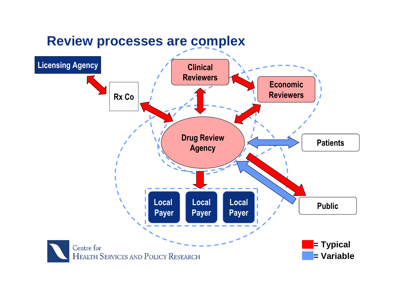### **Review processes are complex**

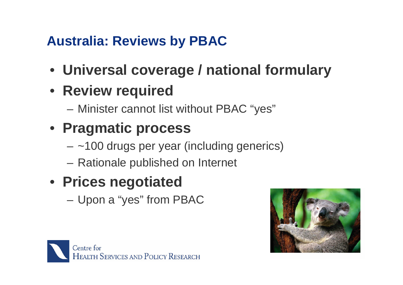# **Australia: Reviews by PBAC**

- **Universal coverage / national formulary**
- **Review required**
	- Minister cannot list without PBAC "yes"
- **Pragmatic process**
	- $-$  ~100 drugs per year (including generics)
	- Rationale published on Internet

# • **Prices negotiated**

– Upon a "yes" from PBAC



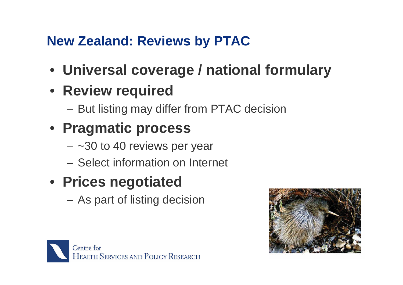# **New Zealand: Reviews by PTAC**

- **Universal coverage / national formulary**
- **Review required**
	- But listing may differ from PTAC decision
- **Pragmatic process**
	- $-$  ~30 to 40 reviews per year
	- Select information on Internet

# • **Prices negotiated**

– As part of listing decision



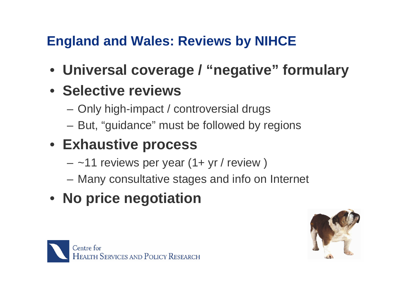# **England and Wales: Reviews by NIHCE**

- **Universal coverage / "negative" formulary**
- **Selective reviews**
	- Only high-impact / controversial drugs
	- But, "guidance" must be followed by regions
- **Exhaustive process**
	- $-$  ~11 reviews per year (1+ yr / review)
	- Many consultative stages and info on Internet
- **No price negotiation**



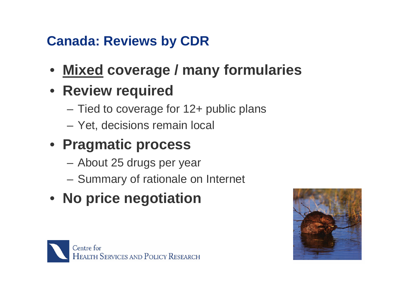# **Canada: Reviews by CDR**

- **Mixed coverage / many formularies**
- **Review required**
	- Tied to coverage for 12+ public plans
	- Yet, decisions remain local
- **Pragmatic process**
	- About 25 drugs per year
	- Summary of rationale on Internet
- **No price negotiation**



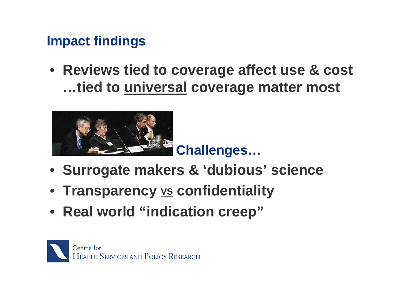## **Impact findings**

• **Reviews tied to coverage affect use & cost …tied to universal coverage matter most**



- **Surrogate makers & 'dubious' science**
- **Transparency VS confidentiality**
- **Real world "indication creep"**

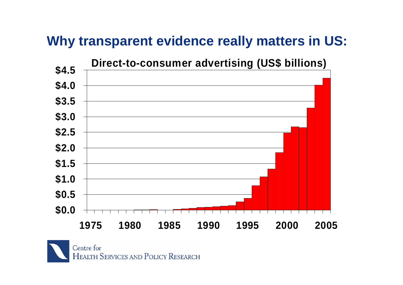## **Why transparent evidence really matters in US:**



Centre for HEALTH SERVICES AND POLICY RESEARCH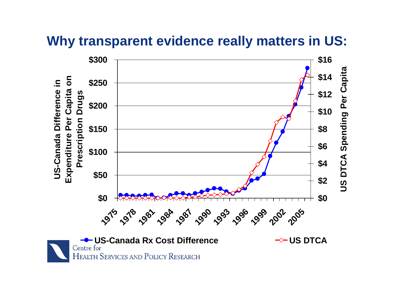#### **Why transparent evidence really matters in US:**



HEALTH SERVICES AND POLICY RESEARCH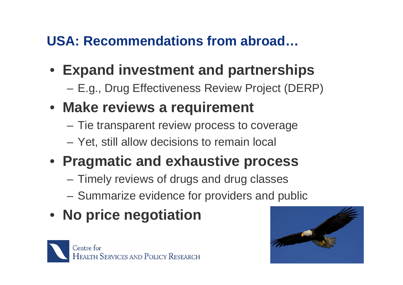# **USA: Recommendations from abroad…**

- **Expand investment and partnerships**
	- E.g., Drug Effectiveness Review Project (DERP)
- **Make reviews a requirement**
	- Tie transparent review process to coverage
	- Yet, still allow decisions to remain local
- **Pragmatic and exhaustive process**
	- Timely reviews of drugs and drug classes
	- Summarize evidence for providers and public
- **No price negotiation**